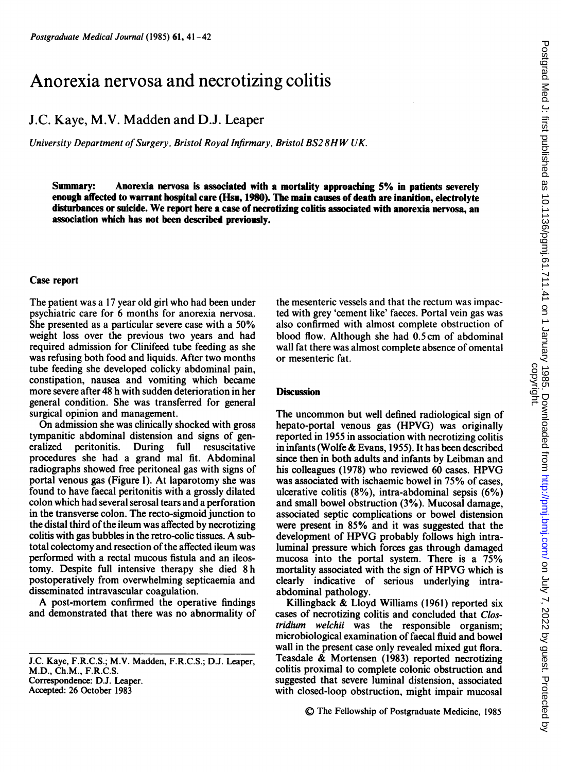# Anorexia nervosa and necrotizing colitis

## J.C. Kaye, M.V. Madden and D.J. Leaper

University Department of Surgery, Bristol Royal Infirmary, Bristol BS28HW UK.

Summary: Anorexia nervosa is associated with <sup>a</sup> mortality approaching 5% in patients severely enough affected to warrant hospital care (Hsu, 1980). The main causes of death are inanition, electrolyte disturbances or suicide. We report here <sup>a</sup> case of necrotizing colitis associated with anorexia nervosa, an association which has not been described previously.

#### Case report

The patient was a <sup>17</sup> year old girl who had been under psychiatric care for 6 months for anorexia nervosa. She presented as a particular severe case with a 50% weight loss over the previous two years and had required admission for Clinifeed tube feeding as she was refusing both food and liquids. After two months tube feeding she developed colicky abdominal pain, constipation, nausea and vomiting which became more severe after 48 h with sudden deterioration in her general condition. She was transferred for general surgical opinion and management.

On admission she was clinically shocked with gross tympanitic abdominal distension and signs of generalized peritonitis. During full resuscitative procedures she had a grand mal fit. Abdominal radiographs showed free peritoneal gas with signs of portal venous gas (Figure 1). At laparotomy she was found to have faecal peritonitis with a grossly dilated colon which had several serosal tears and a perforation in the transverse colon. The recto-sigmoid junction to the distal third of the ileum was affected by necrotizing colitis with gas bubbles in the retro-colic tissues. A subtotal colectomy and resection of the affected ileum was performed with a rectal mucous fistula and an ileostomy. Despite full intensive therapy she died 8 h postoperatively from overwhelming septicaemia and disseminated intravascular coagulation.

A post-mortem confirmed the operative findings and demonstrated that there was no abnormality of

J.C. Kaye, F.R.C.S.; M.V. Madden, F.R.C.S.; D.J. Leaper, M.D., Ch.M., F.R.C.S. Correspondence: D.J. Leaper. Accepted: 26 October 1983

the mesenteric vessels and that the rectum was impacted with grey 'cement like' faeces. Portal vein gas was also confirmed with almost complete obstruction of blood flow. Although she had 0.5cm of abdominal wall fat there was almost complete absence of omental or mesenteric fat.

### **Discussion**

The uncommon but well defined radiological sign of hepato-portal venous gas (HPVG) was originally reported in 1955 in association with necrotizing colitis in infants (Wolfe & Evans, 1955). It has been described since then in both adults and infants by Leibman and his colleagues (1978) who reviewed <sup>60</sup> cases. HPVG was associated with ischaemic bowel in 75% of cases, ulcerative colitis (8%), intra-abdominal sepsis (6%) and small bowel obstruction (3%). Mucosal damage, associated septic complications or bowel distension were present in 85% and it was suggested that the development of HPVG probably follows high intraluminal pressure which forces gas through damaged mucosa into the portal system. There is a 75% mortality associated with the sign of HPVG which is clearly indicative of serious underlying intraabdominal pathology.

Killingback & Lloyd Williams (1961) reported six cases of necrotizing colitis and concluded that Clostridium welchii was the responsible organism; microbiological examination of faecal fluid and bowel wall in the present case only revealed mixed gut flora. Teasdale & Mortensen (1983) reported necrotizing colitis proximal to complete colonic obstruction and suggested that severe luminal distension, associated with closed-loop obstruction, might impair mucosal

© The Fellowship of Postgraduate Medicine, <sup>1985</sup>